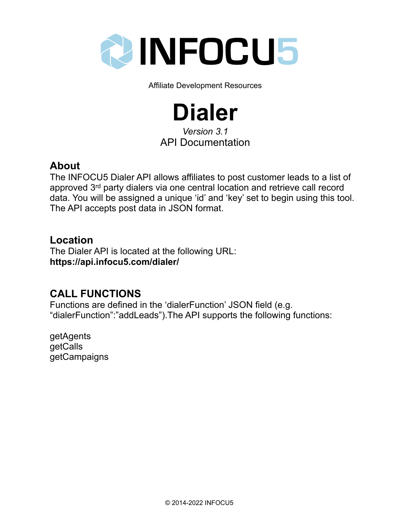

Affiliate Development Resources

# **Dialer**

*Version 3.1* API Documentation

## **About**

The INFOCU5 Dialer API allows affiliates to post customer leads to a list of approved 3rd party dialers via one central location and retrieve call record data. You will be assigned a unique 'id' and 'key' set to begin using this tool. The API accepts post data in JSON format.

## **Location**

The Dialer API is located at the following URL: **https://api.infocu5.com/dialer/**

## **CALL FUNCTIONS**

Functions are defined in the 'dialerFunction' JSON field (e.g. "dialerFunction":"addLeads").The API supports the following functions:

getAgents getCalls getCampaigns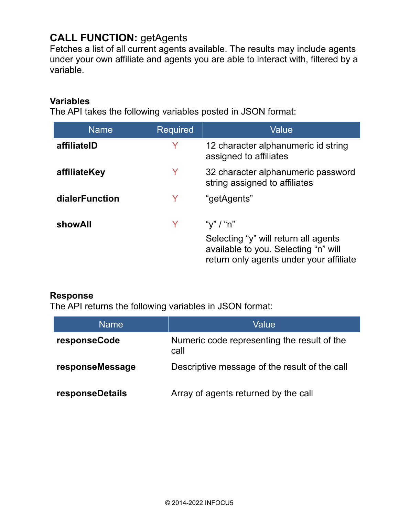## **CALL FUNCTION:** getAgents

Fetches a list of all current agents available. The results may include agents under your own affiliate and agents you are able to interact with, filtered by a variable.

#### **Variables**

The API takes the following variables posted in JSON format:

| <b>Name</b>    | <b>Required</b> | Value                                                                                                                   |
|----------------|-----------------|-------------------------------------------------------------------------------------------------------------------------|
| affiliateID    | Y               | 12 character alphanumeric id string<br>assigned to affiliates                                                           |
| affiliateKey   | Y               | 32 character alphanumeric password<br>string assigned to affiliates                                                     |
| dialerFunction | Y               | "getAgents"                                                                                                             |
| showAll        |                 | "y" / "n"                                                                                                               |
|                |                 | Selecting "y" will return all agents<br>available to you. Selecting "n" will<br>return only agents under your affiliate |

#### **Response**

The API returns the following variables in JSON format:

| <b>Name</b>     | Value                                               |
|-----------------|-----------------------------------------------------|
| responseCode    | Numeric code representing the result of the<br>call |
| responseMessage | Descriptive message of the result of the call       |
| responseDetails | Array of agents returned by the call                |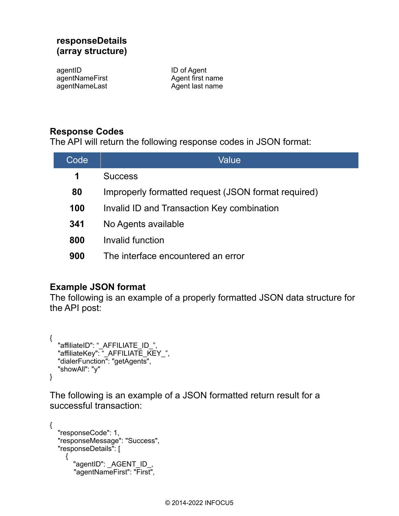#### **responseDetails (array structure)**

agentID agentNameFirst agentNameLast

ID of Agent Agent first name Agent last name

#### **Response Codes**

The API will return the following response codes in JSON format:

| Code | Value                                               |
|------|-----------------------------------------------------|
| 1    | <b>Success</b>                                      |
| 80   | Improperly formatted request (JSON format required) |
| 100  | Invalid ID and Transaction Key combination          |
| 341  | No Agents available                                 |
| 800  | Invalid function                                    |
| 900  | The interface encountered an error                  |

#### **Example JSON format**

The following is an example of a properly formatted JSON data structure for the API post:

```
{
  "affiliateID": " AFFILIATE ID ",
 "affiliateKey": "_AFFILIATE_KEY_",
 "dialerFunction": "getAgents",
   "showAll": "y"
}
```
The following is an example of a JSON formatted return result for a successful transaction:

```
{
   "responseCode": 1,
 "responseMessage": "Success",
 "responseDetails": [
     {
       "agentID": _AGENT_ID_,
        "agentNameFirst": "First",
```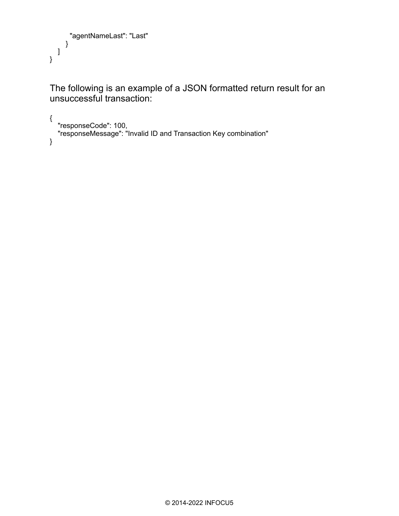```
 "agentNameLast": "Last"
     }
  ]
}
```
The following is an example of a JSON formatted return result for an unsuccessful transaction:

```
{
 "responseCode": 100,
 "responseMessage": "Invalid ID and Transaction Key combination"
}
```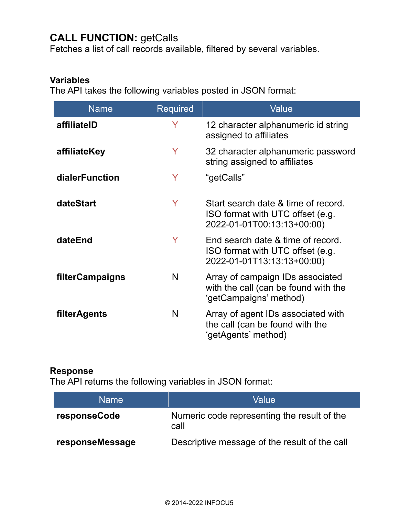## **CALL FUNCTION: getCalls**

Fetches a list of call records available, filtered by several variables.

#### **Variables**

The API takes the following variables posted in JSON format:

| <b>Name</b>     | <b>Required</b> | Value                                                                                                 |
|-----------------|-----------------|-------------------------------------------------------------------------------------------------------|
| affiliatelD     | Y               | 12 character alphanumeric id string<br>assigned to affiliates                                         |
| affiliateKey    | Y               | 32 character alphanumeric password<br>string assigned to affiliates                                   |
| dialerFunction  | Y               | "getCalls"                                                                                            |
| dateStart       | Y               | Start search date & time of record.<br>ISO format with UTC offset (e.g.<br>2022-01-01T00:13:13+00:00) |
| dateEnd         | Y               | End search date & time of record.<br>ISO format with UTC offset (e.g.<br>2022-01-01T13:13:13+00:00)   |
| filterCampaigns | N               | Array of campaign IDs associated<br>with the call (can be found with the<br>'getCampaigns' method)    |
| filterAgents    | N               | Array of agent IDs associated with<br>the call (can be found with the<br>'getAgents' method)          |

#### **Response**

The API returns the following variables in JSON format:

| <b>Name</b>     | Value                                               |
|-----------------|-----------------------------------------------------|
| responseCode    | Numeric code representing the result of the<br>call |
| responseMessage | Descriptive message of the result of the call       |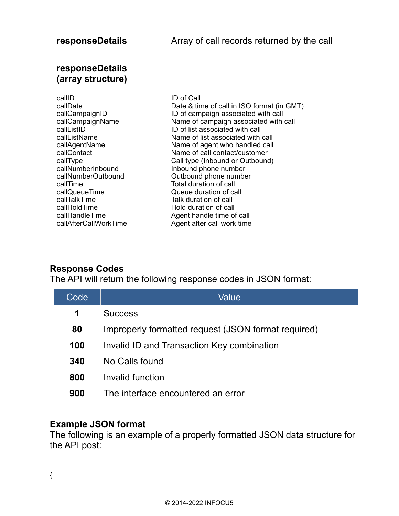#### **responseDetails (array structure)**

| callID                | ID of Call                                 |
|-----------------------|--------------------------------------------|
| callDate              | Date & time of call in ISO format (in GMT) |
| callCampaignID        | ID of campaign associated with call        |
| callCampaignName      | Name of campaign associated with call      |
| callListID            | ID of list associated with call            |
| callListName          | Name of list associated with call          |
| callAgentName         | Name of agent who handled call             |
| callContact           | Name of call contact/customer              |
| callType              | Call type (Inbound or Outbound)            |
| callNumberInbound     | Inbound phone number                       |
| callNumberOutbound    | Outbound phone number                      |
| callTime              | Total duration of call                     |
| callQueueTime         | Queue duration of call                     |
| callTalkTime          | Talk duration of call                      |
| callHoldTime          | Hold duration of call                      |
| callHandleTime        | Agent handle time of call                  |
| callAfterCallWorkTime | Agent after call work time                 |

#### **Response Codes**

The API will return the following response codes in JSON format:

| Code | Value                                               |
|------|-----------------------------------------------------|
| 1    | <b>Success</b>                                      |
| 80   | Improperly formatted request (JSON format required) |
| 100  | Invalid ID and Transaction Key combination          |
| 340  | No Calls found                                      |
| 800  | Invalid function                                    |
| 900  | The interface encountered an error                  |

#### **Example JSON format**

The following is an example of a properly formatted JSON data structure for the API post:

{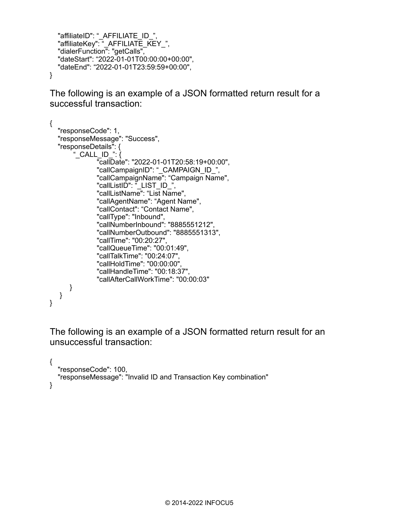```
"affiliateID": " AFFILIATE ID ".
 "affiliateKey": "_AFFILIATE_KEY_",
 "dialerFunction": "getCalls",
   "dateStart": "2022-01-01T00:00:00+00:00",
   "dateEnd": "2022-01-01T23:59:59+00:00",
}
```
The following is an example of a JSON formatted return result for a successful transaction:

```
{
   "responseCode": 1,
   "responseMessage": "Success",
   "responseDetails": {
       "_CALL_ID_": \{ "callDate": "2022-01-01T20:58:19+00:00",
               "callCampaignID": "_CAMPAIGN_ID_",
 "callCampaignName": "Campaign Name",
 "callListID": "_LIST_ID_",
               "callListName": "List Name",
               "callAgentName": "Agent Name",
               "callContact": "Contact Name",
               "callType": "Inbound",
               "callNumberInbound": "8885551212",
               "callNumberOutbound": "8885551313",
               "callTime": "00:20:27",
               "callQueueTime": "00:01:49",
               "callTalkTime": "00:24:07",
               "callHoldTime": "00:00:00",
               "callHandleTime": "00:18:37",
               "callAfterCallWorkTime": "00:00:03"
       }
   }
}
```
The following is an example of a JSON formatted return result for an unsuccessful transaction:

```
{
   "responseCode": 100,
   "responseMessage": "Invalid ID and Transaction Key combination"
}
```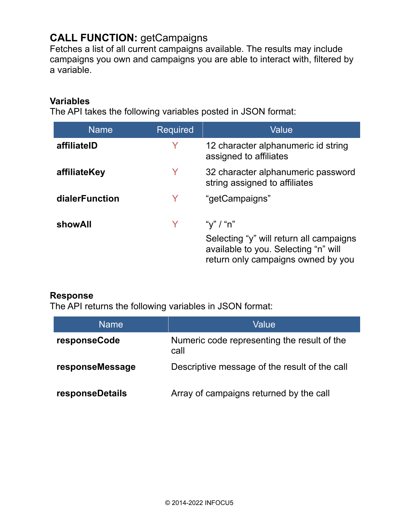## **CALL FUNCTION:** getCampaigns

Fetches a list of all current campaigns available. The results may include campaigns you own and campaigns you are able to interact with, filtered by a variable.

#### **Variables**

The API takes the following variables posted in JSON format:

| <b>Name</b>    | <b>Required</b> | Value                                                                                                                              |
|----------------|-----------------|------------------------------------------------------------------------------------------------------------------------------------|
| affiliateID    | Y               | 12 character alphanumeric id string<br>assigned to affiliates                                                                      |
| affiliateKey   | Y               | 32 character alphanumeric password<br>string assigned to affiliates                                                                |
| dialerFunction | Y               | "getCampaigns"                                                                                                                     |
| showAll        |                 | "y" / "n"<br>Selecting "y" will return all campaigns<br>available to you. Selecting "n" will<br>return only campaigns owned by you |

#### **Response**

The API returns the following variables in JSON format:

| Name            | Value                                               |
|-----------------|-----------------------------------------------------|
| responseCode    | Numeric code representing the result of the<br>call |
| responseMessage | Descriptive message of the result of the call       |
| responseDetails | Array of campaigns returned by the call             |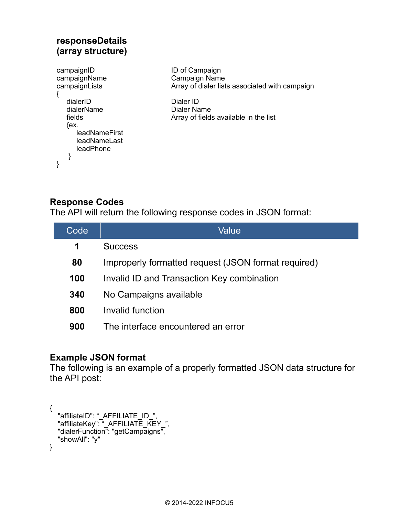#### **responseDetails (array structure)** campaignID campaignName campaignLists { dialerID dialerName fields  ${ex.}$  leadNameFirst leadNameLast leadPhone } }

ID of Campaign Campaign Name Array of dialer lists associated with campaign

Dialer ID Dialer Name Array of fields available in the list

### **Response Codes**

The API will return the following response codes in JSON format:

| Code | Value                                               |
|------|-----------------------------------------------------|
| 1    | <b>Success</b>                                      |
| 80   | Improperly formatted request (JSON format required) |
| 100  | Invalid ID and Transaction Key combination          |
| 340  | No Campaigns available                              |
| 800  | Invalid function                                    |
| 900  | The interface encountered an error                  |
|      |                                                     |

#### **Example JSON format**

The following is an example of a properly formatted JSON data structure for the API post:

```
{
 "affiliateID": "_AFFILIATE_ID_",
 "affiliateKey": "_AFFILIATE_KEY_",
   "dialerFunction": "getCampaigns",
   "showAll": "y"
}
```